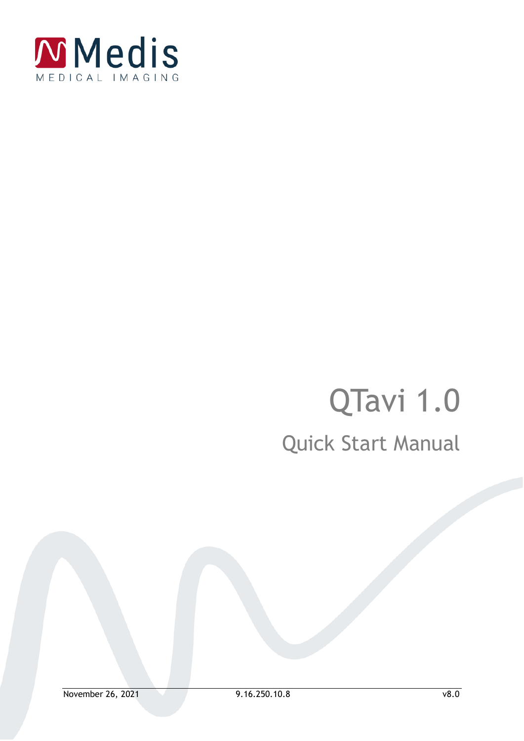

# QTavi 1.0 Quick Start Manual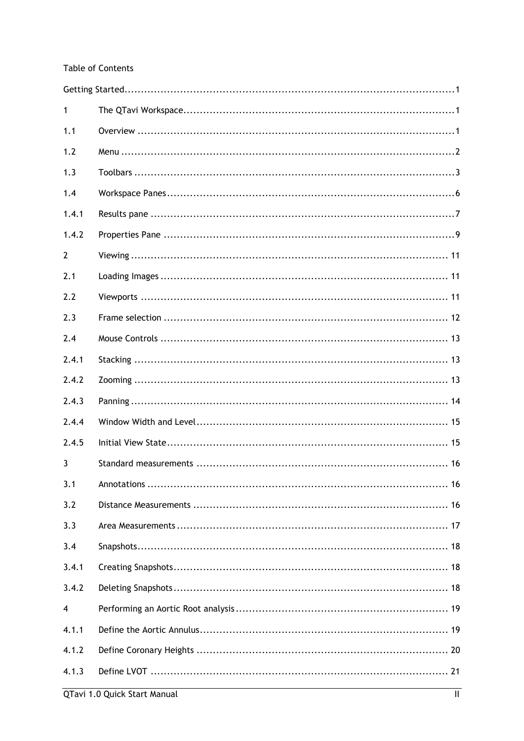### **Table of Contents**

| 1     |  |
|-------|--|
| 1.1   |  |
| 1.2   |  |
| 1.3   |  |
| 1.4   |  |
| 1.4.1 |  |
| 1.4.2 |  |
| 2     |  |
| 2.1   |  |
| 2.2   |  |
| 2.3   |  |
| 2.4   |  |
| 2.4.1 |  |
| 2.4.2 |  |
| 2.4.3 |  |
| 2.4.4 |  |
| 2.4.5 |  |
| 3     |  |
| 3.1   |  |
| 3.2   |  |
| 3.3   |  |
| 3.4   |  |
| 3.4.1 |  |
| 3.4.2 |  |
| 4     |  |
| 4.1.1 |  |
| 4.1.2 |  |
| 4.1.3 |  |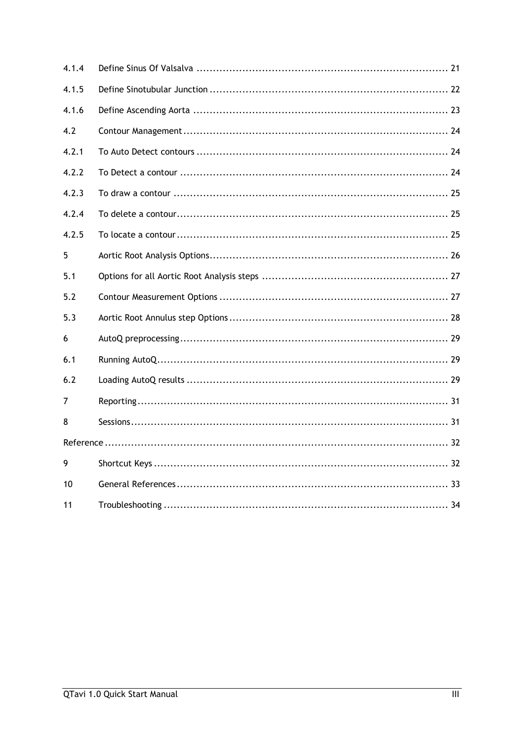| 4.1.4 |  |
|-------|--|
| 4.1.5 |  |
| 4.1.6 |  |
| 4.2   |  |
| 4.2.1 |  |
| 4.2.2 |  |
| 4.2.3 |  |
| 4.2.4 |  |
| 4.2.5 |  |
| 5     |  |
| 5.1   |  |
| 5.2   |  |
| 5.3   |  |
| 6     |  |
| 6.1   |  |
| 6.2   |  |
| 7     |  |
| 8     |  |
|       |  |
| 9     |  |
| 10    |  |
| 11    |  |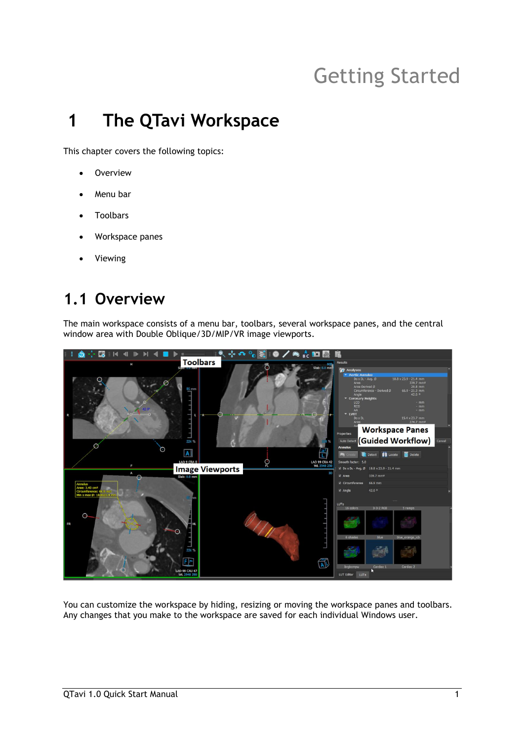## Getting Started

## <span id="page-3-1"></span><span id="page-3-0"></span>**1 The QTavi Workspace**

This chapter covers the following topics:

- Overview
- Menu bar
- Toolbars
- Workspace panes
- **Viewing**

## <span id="page-3-2"></span>**1.1 Overview**

The main workspace consists of a menu bar, toolbars, several workspace panes, and the central window area with Double Oblique/3D/MIP/VR image viewports.



You can customize the workspace by hiding, resizing or moving the workspace panes and toolbars. Any changes that you make to the workspace are saved for each individual Windows user.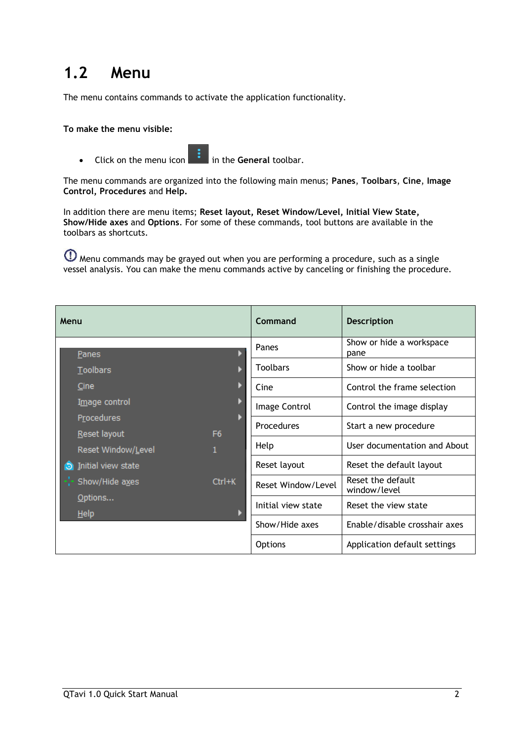## <span id="page-4-0"></span>**1.2 Menu**

The menu contains commands to activate the application functionality.

#### **To make the menu visible:**

• Click on the menu icon in the **General** toolbar.

The menu commands are organized into the following main menus; **Panes**, **Toolbars**, **Cine**, **Image Control, Procedures** and **Help.**

In addition there are menu items; **Reset layout, Reset Window/Level, Initial View State, Show/Hide axes** and **Options**. For some of these commands, tool buttons are available in the toolbars as shortcuts.

Menu commands may be grayed out when you are performing a procedure, such as a single vessel analysis. You can make the menu commands active by canceling or finishing the procedure.

| Menu                               |                                | Command            | <b>Description</b>                |
|------------------------------------|--------------------------------|--------------------|-----------------------------------|
| Panes                              |                                | Panes              | Show or hide a workspace<br>pane  |
| <b>Toolbars</b>                    |                                | <b>Toolbars</b>    | Show or hide a toolbar            |
| Cine                               |                                | Cine               | Control the frame selection       |
| Image control                      |                                | Image Control      | Control the image display         |
| Procedures                         |                                | <b>Procedures</b>  | Start a new procedure             |
| Reset layout<br>Reset Window/Level | F <sub>6</sub><br>$\mathbf{1}$ | Help               | User documentation and About      |
| Initial view state<br>Θ            |                                | Reset layout       | Reset the default layout          |
| Show/Hide axes                     | Ctrl+K                         | Reset Window/Level | Reset the default<br>window/level |
| Options<br>Help                    |                                | Initial view state | Reset the view state              |
|                                    |                                | Show/Hide axes     | Enable/disable crosshair axes     |
|                                    |                                | <b>Options</b>     | Application default settings      |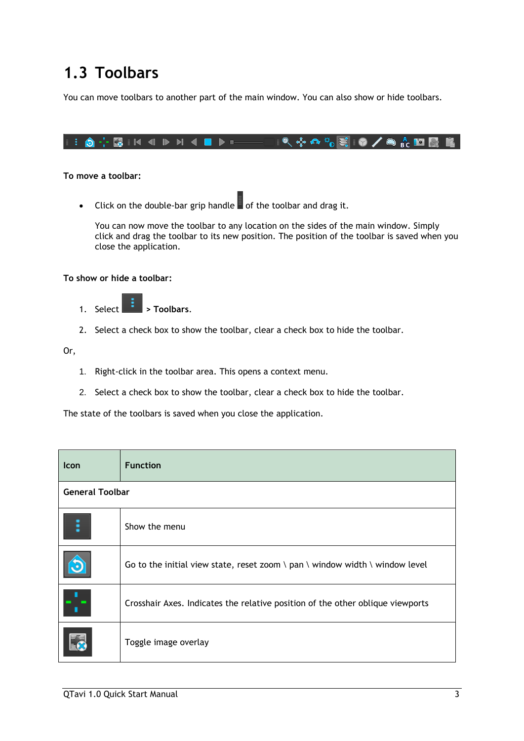## <span id="page-5-0"></span>**1.3 Toolbars**

You can move toolbars to another part of the main window. You can also show or hide toolbars.

### **To move a toolbar:**

• Click on the double-bar grip handle of the toolbar and drag it.

You can now move the toolbar to any location on the sides of the main window. Simply click and drag the toolbar to its new position. The position of the toolbar is saved when you close the application.

#### **To show or hide a toolbar:**

- 1. Select **> Toolbars**.
- 2. Select a check box to show the toolbar, clear a check box to hide the toolbar.

Or,

- 1. Right-click in the toolbar area. This opens a context menu.
- 2. Select a check box to show the toolbar, clear a check box to hide the toolbar.

The state of the toolbars is saved when you close the application.

| Icon                   | <b>Function</b>                                                                |
|------------------------|--------------------------------------------------------------------------------|
| <b>General Toolbar</b> |                                                                                |
|                        | Show the menu                                                                  |
|                        | Go to the initial view state, reset zoom \ pan \ window width \ window level   |
|                        | Crosshair Axes. Indicates the relative position of the other oblique viewports |
|                        | Toggle image overlay                                                           |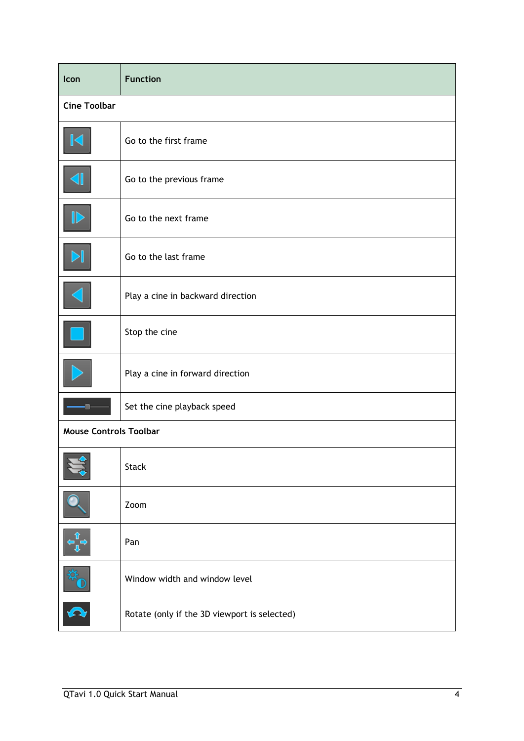| Icon                          | <b>Function</b>                              |
|-------------------------------|----------------------------------------------|
| <b>Cine Toolbar</b>           |                                              |
|                               | Go to the first frame                        |
| ◀                             | Go to the previous frame                     |
|                               | Go to the next frame                         |
|                               | Go to the last frame                         |
| ◀                             | Play a cine in backward direction            |
|                               | Stop the cine                                |
|                               | Play a cine in forward direction             |
|                               | Set the cine playback speed                  |
| <b>Mouse Controls Toolbar</b> |                                              |
| <b>A</b> 1                    | <b>Stack</b>                                 |
|                               | Zoom                                         |
|                               | Pan                                          |
|                               | Window width and window level                |
|                               | Rotate (only if the 3D viewport is selected) |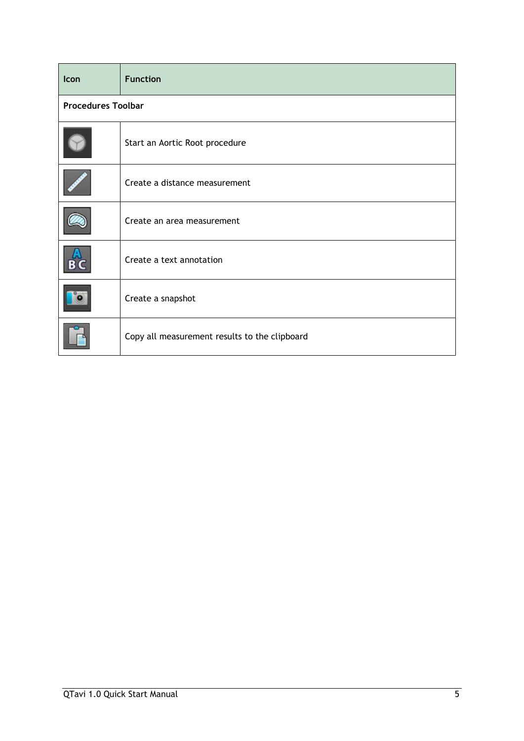| Icon | <b>Function</b>                               |  |  |  |  |  |  |
|------|-----------------------------------------------|--|--|--|--|--|--|
|      | <b>Procedures Toolbar</b>                     |  |  |  |  |  |  |
|      | Start an Aortic Root procedure                |  |  |  |  |  |  |
|      | Create a distance measurement                 |  |  |  |  |  |  |
|      | Create an area measurement                    |  |  |  |  |  |  |
|      | Create a text annotation                      |  |  |  |  |  |  |
|      | Create a snapshot                             |  |  |  |  |  |  |
|      | Copy all measurement results to the clipboard |  |  |  |  |  |  |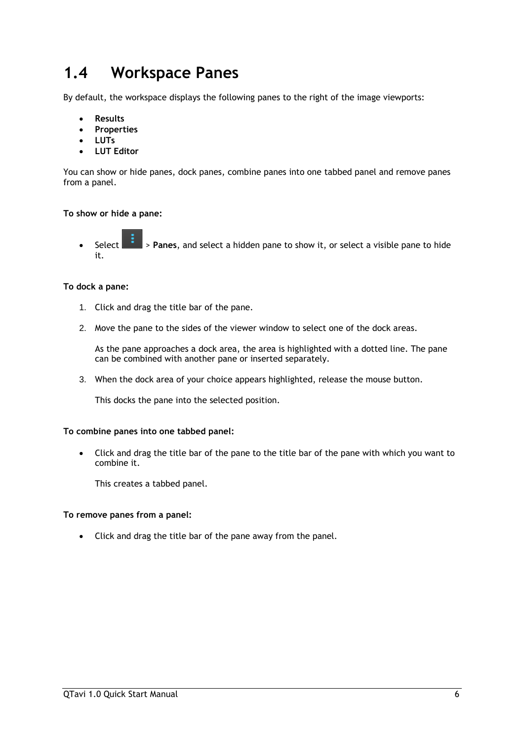## <span id="page-8-0"></span>**1.4 Workspace Panes**

By default, the workspace displays the following panes to the right of the image viewports:

- **Results**
- **Properties**
- **LUTs**
- **LUT Editor**

You can show or hide panes, dock panes, combine panes into one tabbed panel and remove panes from a panel.

#### **To show or hide a pane:**

• Select > **Panes**, and select a hidden pane to show it, or select a visible pane to hide it.

#### **To dock a pane:**

- 1. Click and drag the title bar of the pane.
- 2. Move the pane to the sides of the viewer window to select one of the dock areas.

As the pane approaches a dock area, the area is highlighted with a dotted line. The pane can be combined with another pane or inserted separately.

3. When the dock area of your choice appears highlighted, release the mouse button.

This docks the pane into the selected position.

#### **To combine panes into one tabbed panel:**

• Click and drag the title bar of the pane to the title bar of the pane with which you want to combine it.

This creates a tabbed panel.

#### **To remove panes from a panel:**

• Click and drag the title bar of the pane away from the panel.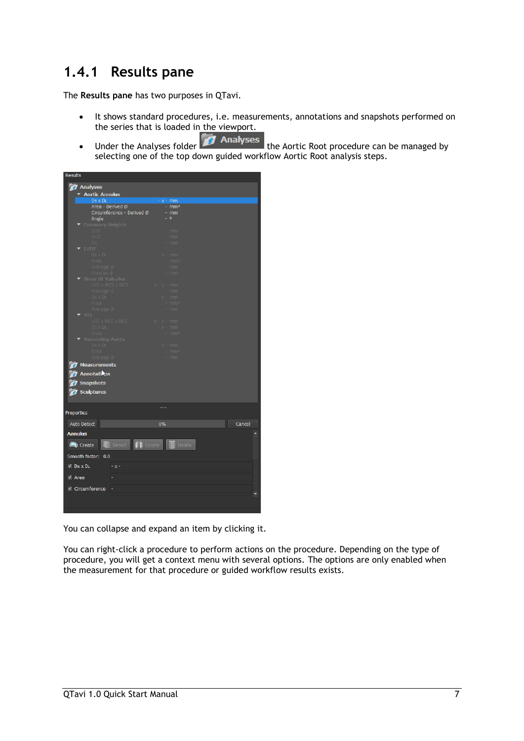### <span id="page-9-0"></span>**1.4.1 Results pane**

The **Results pane** has two purposes in QTavi.

- It shows standard procedures, i.e. measurements, annotations and snapshots performed on the series that is loaded in the viewport.
- Under the Analyses folder **The Analyses** the Aortic Root procedure can be managed by selecting one of the top down guided workflow Aortic Root analysis steps.

| <b>Results</b>               |                                        |                       |        |
|------------------------------|----------------------------------------|-----------------------|--------|
| <b>7</b> Analyses            |                                        |                       |        |
| Aortic Annulus               |                                        |                       |        |
| Ds x DL                      |                                        | $-x - mm$             |        |
|                              | Area - Derived Ø                       | $-$ mm <sup>2</sup>   |        |
|                              | Circumference - Derived Ø              | - mm                  |        |
| Angle                        |                                        | $-0$                  |        |
| <b>Coronary Heights</b>      |                                        |                       |        |
|                              |                                        | mm                    |        |
| <b>RCO</b>                   |                                        | mm                    |        |
|                              |                                        | mm                    |        |
| <b>LVOT</b>                  |                                        |                       |        |
| - -<br>Ds x DL<br>Area       |                                        | $-x - mm$             |        |
|                              |                                        | mm <sup>2</sup>       |        |
| Average Ø<br>Annulus d       |                                        | mm<br>mm              |        |
| Sinus Of Valsalva            |                                        |                       |        |
|                              | $LCS \times RCS \times NCS$<br>$X = X$ | mm                    |        |
| Average d                    |                                        | mm                    |        |
|                              | $- x -$                                | mm                    |        |
| Ds x DL<br>Area<br>Average Ø |                                        | mm                    |        |
|                              |                                        | mm                    |        |
| STJ                          |                                        |                       |        |
|                              | $X = X =$                              | mm                    |        |
|                              | LCC x RCC x NCC<br>Ds x DL<br>Area     | mm                    |        |
|                              |                                        | mm <sup>2</sup>       |        |
| Scending Aorta               |                                        |                       |        |
| Ds x DL<br>Area              |                                        | $-x - mm$             |        |
| Average Ø                    |                                        | mm <sup>2</sup>       |        |
|                              |                                        | mm                    |        |
| <b>Measurements</b>          |                                        |                       |        |
| <b>Annotations</b>           |                                        |                       |        |
| <b>Snapshots</b>             |                                        |                       |        |
|                              |                                        |                       |        |
| Sculptures                   |                                        |                       |        |
|                              |                                        |                       |        |
|                              |                                        |                       |        |
| Properties                   |                                        |                       |        |
| Auto Detect                  | 0%                                     |                       | Cancel |
|                              |                                        |                       |        |
| <b>Annulus</b>               |                                        |                       |        |
|                              | $\left  \cdot \right $ Locate          | $\overline{m}$ Delete |        |
| Create                       | Detect                                 |                       |        |
| Smooth factor: 0.0           |                                        |                       |        |
|                              |                                        |                       |        |
| $\vee$ Ds x DL               | $-x-$                                  |                       |        |
|                              |                                        |                       |        |
| $\sqrt{ }$ Area              |                                        |                       |        |
| √ Circumference              |                                        |                       |        |
|                              |                                        |                       |        |
|                              |                                        |                       |        |
|                              |                                        |                       |        |
|                              |                                        |                       |        |

You can collapse and expand an item by clicking it.

You can right-click a procedure to perform actions on the procedure. Depending on the type of procedure, you will get a context menu with several options. The options are only enabled when the measurement for that procedure or guided workflow results exists.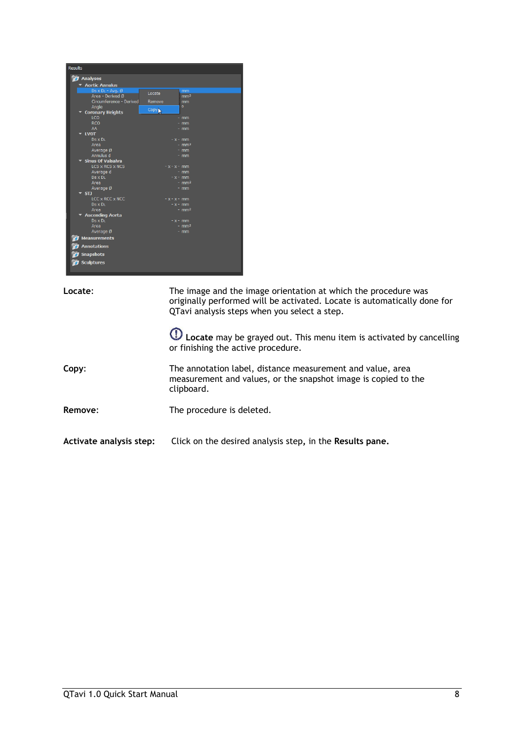

| Locate:                 | The image and the image orientation at which the procedure was<br>originally performed will be activated. Locate is automatically done for<br>QTavi analysis steps when you select a step. |  |  |  |  |
|-------------------------|--------------------------------------------------------------------------------------------------------------------------------------------------------------------------------------------|--|--|--|--|
|                         | (1) Locate may be grayed out. This menu item is activated by cancelling<br>or finishing the active procedure.                                                                              |  |  |  |  |
| Copy:                   | The annotation label, distance measurement and value, area<br>measurement and values, or the snapshot image is copied to the<br>clipboard.                                                 |  |  |  |  |
| Remove:                 | The procedure is deleted.                                                                                                                                                                  |  |  |  |  |
| Activate analysis step: | Click on the desired analysis step, in the Results pane.                                                                                                                                   |  |  |  |  |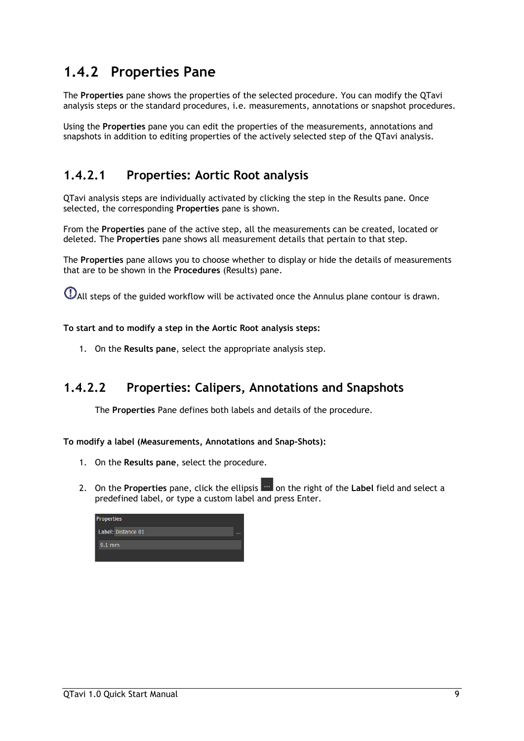### <span id="page-11-0"></span>**1.4.2 Properties Pane**

The **Properties** pane shows the properties of the selected procedure. You can modify the QTavi analysis steps or the standard procedures, i.e. measurements, annotations or snapshot procedures.

Using the **Properties** pane you can edit the properties of the measurements, annotations and snapshots in addition to editing properties of the actively selected step of the QTavi analysis.

### **1.4.2.1 Properties: Aortic Root analysis**

QTavi analysis steps are individually activated by clicking the step in the Results pane. Once selected, the corresponding **Properties** pane is shown.

From the **Properties** pane of the active step, all the measurements can be created, located or deleted. The **Properties** pane shows all measurement details that pertain to that step.

The **Properties** pane allows you to choose whether to display or hide the details of measurements that are to be shown in the **Procedures** (Results) pane.

All steps of the guided workflow will be activated once the Annulus plane contour is drawn.

### **To start and to modify a step in the Aortic Root analysis steps:**

1. On the **Results pane**, select the appropriate analysis step.

### **1.4.2.2 Properties: Calipers, Annotations and Snapshots**

The **Properties** Pane defines both labels and details of the procedure.

### **To modify a label (Measurements, Annotations and Snap-Shots):**

- 1. On the **Results pane**, select the procedure.
- 2. On the **Properties** pane, click the ellipsis **on the right of the Label field and select a** predefined label, or type a custom label and press Enter.

| Properties |                    |  |  |  |  |  |  |  |
|------------|--------------------|--|--|--|--|--|--|--|
|            | Label: Distance 01 |  |  |  |  |  |  |  |
|            | $9.1$ mm           |  |  |  |  |  |  |  |
|            |                    |  |  |  |  |  |  |  |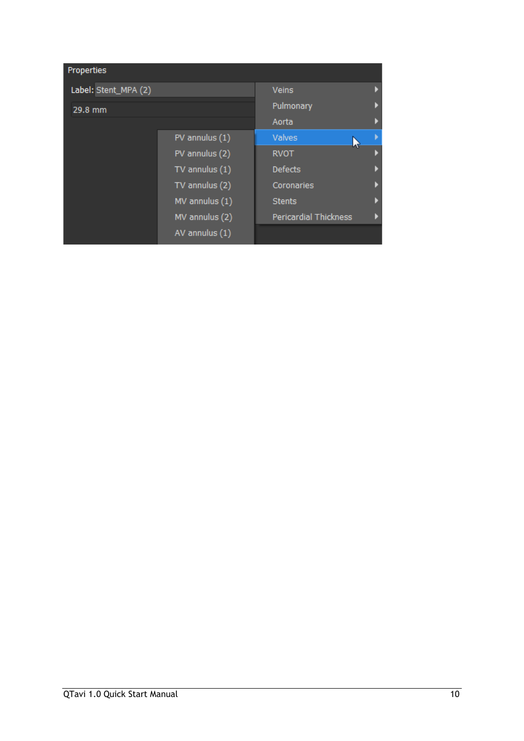| Properties           |                    |                              |  |  |
|----------------------|--------------------|------------------------------|--|--|
| Label: Stent_MPA (2) | <b>Veins</b>       |                              |  |  |
| 29.8 mm              | Pulmonary          |                              |  |  |
|                      | Aorta              |                              |  |  |
|                      | PV annulus (1)     | Valves                       |  |  |
|                      | PV annulus (2)     | <b>RVOT</b>                  |  |  |
|                      | $TV$ annulus $(1)$ | <b>Defects</b>               |  |  |
|                      | TV annulus (2)     | Coronaries                   |  |  |
|                      | MV annulus (1)     | <b>Stents</b>                |  |  |
|                      | MV annulus (2)     | <b>Pericardial Thickness</b> |  |  |
|                      | AV annulus (1)     |                              |  |  |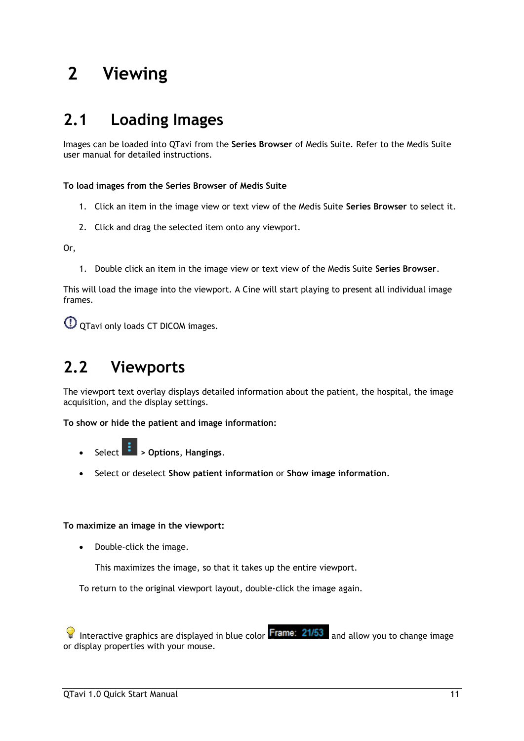## <span id="page-13-0"></span>**2 Viewing**

## <span id="page-13-1"></span>**2.1 Loading Images**

Images can be loaded into QTavi from the **Series Browser** of Medis Suite. Refer to the Medis Suite user manual for detailed instructions.

**To load images from the Series Browser of Medis Suite**

- 1. Click an item in the image view or text view of the Medis Suite **Series Browser** to select it.
- 2. Click and drag the selected item onto any viewport.

Or,

1. Double click an item in the image view or text view of the Medis Suite **Series Browser**.

This will load the image into the viewport. A Cine will start playing to present all individual image frames.

QTavi only loads CT DICOM images.

## <span id="page-13-2"></span>**2.2 Viewports**

The viewport text overlay displays detailed information about the patient, the hospital, the image acquisition, and the display settings.

**To show or hide the patient and image information:**

- Select **> Options**, **Hangings**.
- Select or deselect **Show patient information** or **Show image information**.

### **To maximize an image in the viewport:**

• Double-click the image.

This maximizes the image, so that it takes up the entire viewport.

To return to the original viewport layout, double-click the image again.

Interactive graphics are displayed in blue color  $\frac{[Frame: 21/53]}{[Table: 21/53]}$  and allow you to change image or display properties with your mouse.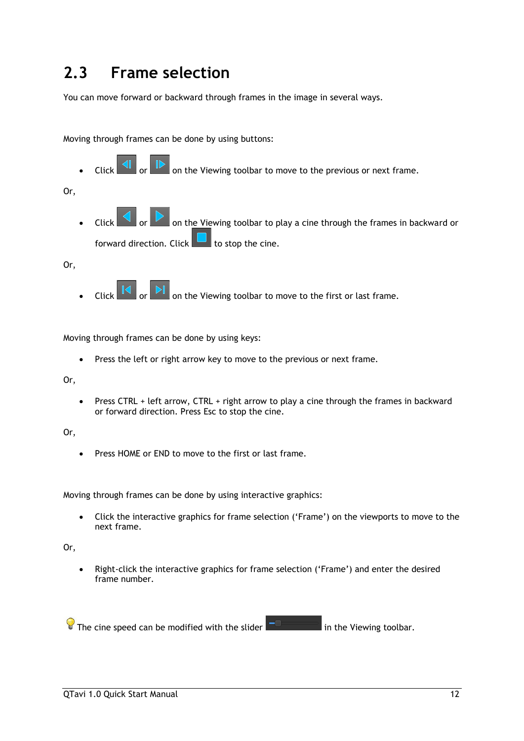## <span id="page-14-0"></span>**2.3 Frame selection**

You can move forward or backward through frames in the image in several ways.

Moving through frames can be done by using buttons:

on the Viewing toolbar to move to the previous or next frame.

Or,

Click  $\Box$  or  $\Box$  on the Viewing toolbar to play a cine through the frames in backward or forward direction. Click  $\Box$  to stop the cine.

Or,

Click  $\Box$  or  $\Box$  on the Viewing toolbar to move to the first or last frame.

Moving through frames can be done by using keys:

• Press the left or right arrow key to move to the previous or next frame.

Or,

• Press CTRL + left arrow, CTRL + right arrow to play a cine through the frames in backward or forward direction. Press Esc to stop the cine.

Or,

• Press HOME or END to move to the first or last frame.

Moving through frames can be done by using interactive graphics:

• Click the interactive graphics for frame selection ('Frame') on the viewports to move to the next frame.

Or,

• Right-click the interactive graphics for frame selection ('Frame') and enter the desired frame number.

 $\sqrt{\frac{1}{2}}$  The cine speed can be modified with the slider  $\sqrt{\frac{1}{2}}$  in the Viewing toolbar.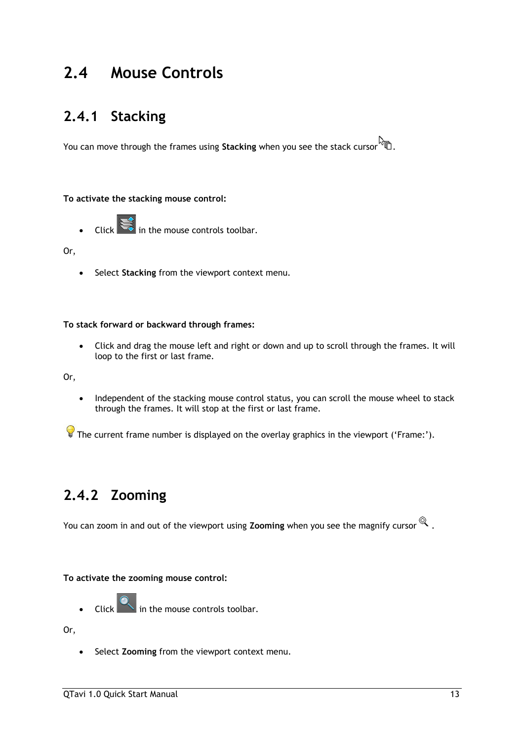## <span id="page-15-0"></span>**2.4 Mouse Controls**

## <span id="page-15-1"></span>**2.4.1 Stacking**

You can move through the frames using **Stacking** when you see the stack cursor .

#### **To activate the stacking mouse control:**

 $\overline{\mathsf{C}}$  in the mouse controls toolbar.

#### Or,

• Select **Stacking** from the viewport context menu.

#### **To stack forward or backward through frames:**

• Click and drag the mouse left and right or down and up to scroll through the frames. It will loop to the first or last frame.

Or,

• Independent of the stacking mouse control status, you can scroll the mouse wheel to stack through the frames. It will stop at the first or last frame.

The current frame number is displayed on the overlay graphics in the viewport ('Frame:').

## <span id="page-15-2"></span>**2.4.2 Zooming**

You can zoom in and out of the viewport using **Zooming** when you see the magnify cursor  $\mathbb{Q}$ .

### **To activate the zooming mouse control:**

Click  $\left[\begin{matrix}\bullet\\\bullet\end{matrix}\right]$  in the mouse controls toolbar.

Or,

• Select **Zooming** from the viewport context menu.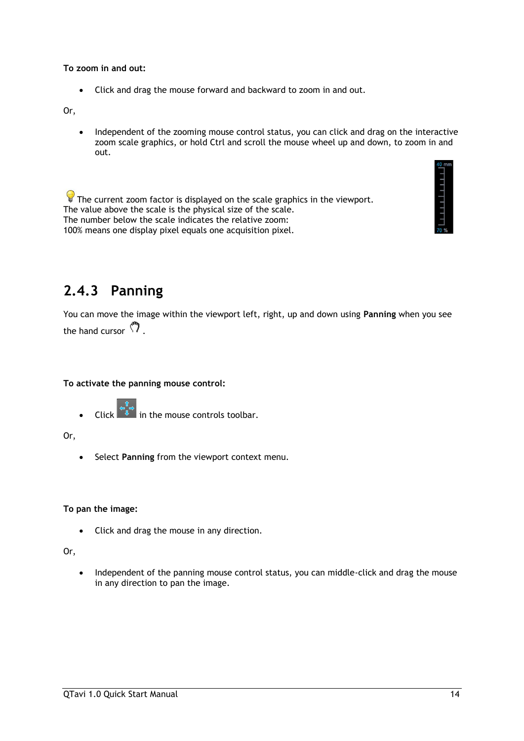### **To zoom in and out:**

• Click and drag the mouse forward and backward to zoom in and out.

Or,

• Independent of the zooming mouse control status, you can click and drag on the interactive zoom scale graphics, or hold Ctrl and scroll the mouse wheel up and down, to zoom in and out.

 $\sqrt{\ }$  The current zoom factor is displayed on the scale graphics in the viewport. The value above the scale is the physical size of the scale. The number below the scale indicates the relative zoom: 100% means one display pixel equals one acquisition pixel.



### <span id="page-16-0"></span>**2.4.3 Panning**

You can move the image within the viewport left, right, up and down using **Panning** when you see the hand cursor  $\mathbb{C}$ .

**To activate the panning mouse control:**

Click  $\begin{bmatrix} \downarrow^{\hat{T}} \\ \downarrow^{\hat{T}} \end{bmatrix}$  in the mouse controls toolbar.

Or,

• Select **Panning** from the viewport context menu.

### **To pan the image:**

• Click and drag the mouse in any direction.

#### Or,

• Independent of the panning mouse control status, you can middle-click and drag the mouse in any direction to pan the image.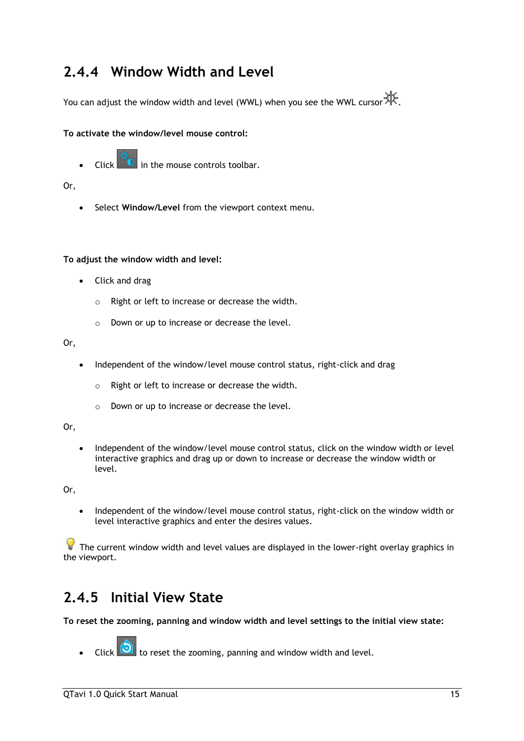### <span id="page-17-0"></span>**2.4.4 Window Width and Level**

You can adjust the window width and level (WWL) when you see the WWL cursor  $\mathbb{R}$ .

### **To activate the window/level mouse control:**

Click  $\left[\begin{matrix} x \\ y \end{matrix}\right]$  in the mouse controls toolbar.

### Or,

• Select **Window/Level** from the viewport context menu.

### **To adjust the window width and level:**

- Click and drag
	- o Right or left to increase or decrease the width.
	- o Down or up to increase or decrease the level.

### Or,

- Independent of the window/level mouse control status, right-click and drag
	- o Right or left to increase or decrease the width.
	- o Down or up to increase or decrease the level.

### Or,

• Independent of the window/level mouse control status, click on the window width or level interactive graphics and drag up or down to increase or decrease the window width or level.

Or,

• Independent of the window/level mouse control status, right-click on the window width or level interactive graphics and enter the desires values.

 $\bigcirc$  The current window width and level values are displayed in the lower-right overlay graphics in the viewport.

### <span id="page-17-1"></span>**2.4.5 Initial View State**

**To reset the zooming, panning and window width and level settings to the initial view state:**

Click  $\boxed{\bigcirc}$  to reset the zooming, panning and window width and level.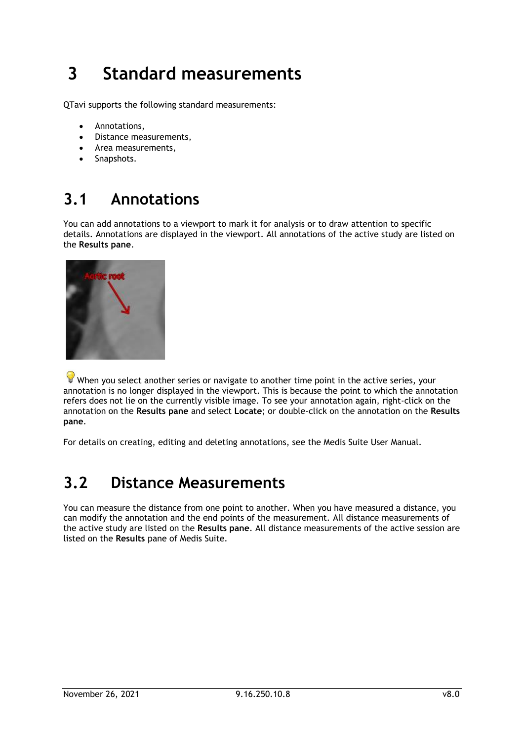## <span id="page-18-0"></span>**3 Standard measurements**

QTavi supports the following standard measurements:

- Annotations,
- Distance measurements,
- Area measurements,
- Snapshots.

## <span id="page-18-1"></span>**3.1 Annotations**

You can add annotations to a viewport to mark it for analysis or to draw attention to specific details. Annotations are displayed in the viewport. All annotations of the active study are listed on the **Results pane**.



When you select another series or navigate to another time point in the active series, your annotation is no longer displayed in the viewport. This is because the point to which the annotation refers does not lie on the currently visible image. To see your annotation again, right-click on the annotation on the **Results pane** and select **Locate**; or double-click on the annotation on the **Results pane**.

For details on creating, editing and deleting annotations, see the Medis Suite User Manual.

## <span id="page-18-2"></span>**3.2 Distance Measurements**

You can measure the distance from one point to another. When you have measured a distance, you can modify the annotation and the end points of the measurement. All distance measurements of the active study are listed on the **Results pane**. All distance measurements of the active session are listed on the **Results** pane of Medis Suite.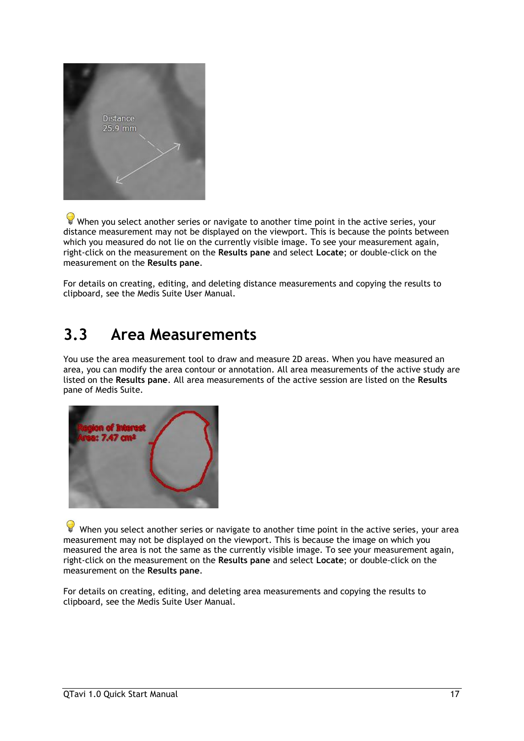

 $\blacktriangleright$  When you select another series or navigate to another time point in the active series, your distance measurement may not be displayed on the viewport. This is because the points between which you measured do not lie on the currently visible image. To see your measurement again, right-click on the measurement on the **Results pane** and select **Locate**; or double-click on the measurement on the **Results pane**.

For details on creating, editing, and deleting distance measurements and copying the results to clipboard, see the Medis Suite User Manual.

## <span id="page-19-0"></span>**3.3 Area Measurements**

You use the area measurement tool to draw and measure 2D areas. When you have measured an area, you can modify the area contour or annotation. All area measurements of the active study are listed on the **Results pane**. All area measurements of the active session are listed on the **Results** pane of Medis Suite.



When you select another series or navigate to another time point in the active series, your area measurement may not be displayed on the viewport. This is because the image on which you measured the area is not the same as the currently visible image. To see your measurement again, right-click on the measurement on the **Results pane** and select **Locate**; or double-click on the measurement on the **Results pane**.

For details on creating, editing, and deleting area measurements and copying the results to clipboard, see the Medis Suite User Manual.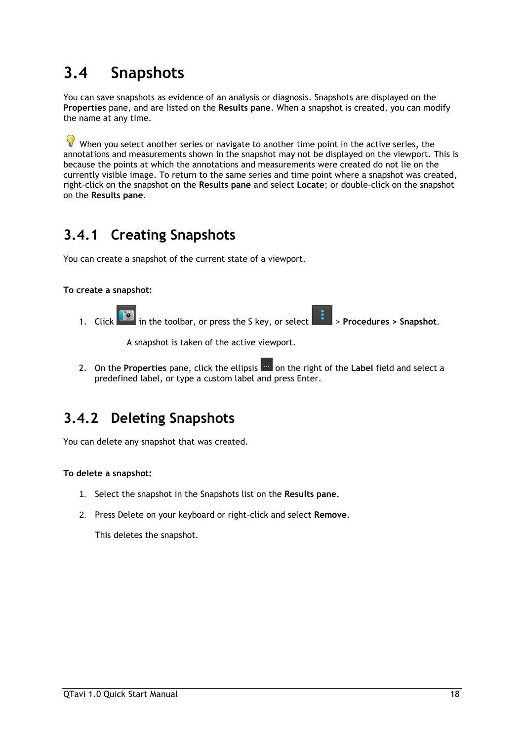## <span id="page-20-0"></span>**3.4 Snapshots**

You can save snapshots as evidence of an analysis or diagnosis. Snapshots are displayed on the **Properties** pane, and are listed on the **Results pane**. When a snapshot is created, you can modify the name at any time.

 $\bullet$  When you select another series or navigate to another time point in the active series, the annotations and measurements shown in the snapshot may not be displayed on the viewport. This is because the points at which the annotations and measurements were created do not lie on the currently visible image. To return to the same series and time point where a snapshot was created, right-click on the snapshot on the **Results pane** and select **Locate**; or double-click on the snapshot on the **Results pane**.

## <span id="page-20-1"></span>**3.4.1 Creating Snapshots**

You can create a snapshot of the current state of a viewport.

### **To create a snapshot:**

1. Click in the toolbar, or press the S key, or select > **Procedures > Snapshot**.

A snapshot is taken of the active viewport.

2. On the **Properties** pane, click the ellipsis **on the right of the Label field and select a** predefined label, or type a custom label and press Enter.

## <span id="page-20-2"></span>**3.4.2 Deleting Snapshots**

You can delete any snapshot that was created.

### **To delete a snapshot:**

- 1. Select the snapshot in the Snapshots list on the **Results pane**.
- 2. Press Delete on your keyboard or right-click and select **Remove**.

This deletes the snapshot.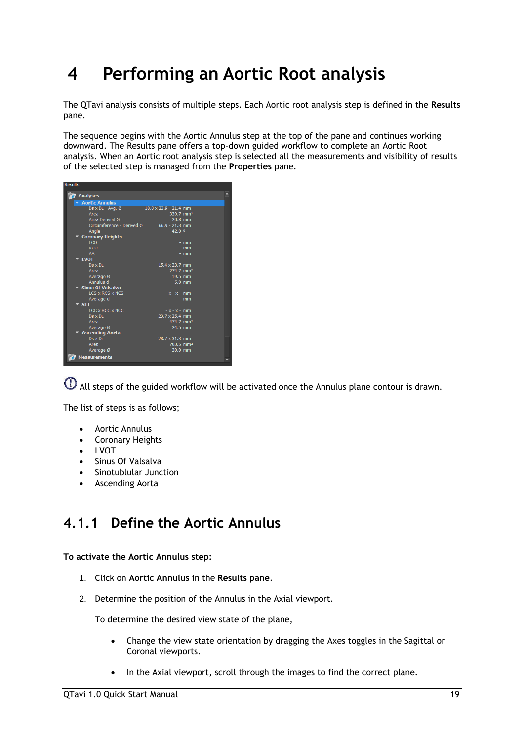## <span id="page-21-0"></span>**4 Performing an Aortic Root analysis**

The QTavi analysis consists of multiple steps. Each Aortic root analysis step is defined in the **Results**  pane.

The sequence begins with the Aortic Annulus step at the top of the pane and continues working downward. The Results pane offers a top-down guided workflow to complete an Aortic Root analysis. When an Aortic root analysis step is selected all the measurements and visibility of results of the selected step is managed from the **Properties** pane.

| <b>Results</b>                          |                              |          |  |
|-----------------------------------------|------------------------------|----------|--|
| <b>7</b> Analyses                       |                              |          |  |
| ▼ Aortic Annulus                        |                              |          |  |
| $Ds \times DL - Avg.$                   | $18.8 \times 23.9 - 21.4$ mm |          |  |
| Area                                    | 339.7 mm <sup>2</sup>        |          |  |
| Area Derived Ø                          | 20.8 mm                      |          |  |
| Circumference - Derived Ø               | $66.9 - 21.3$ mm             |          |  |
| Angle                                   | 42.0 0                       |          |  |
| <b>Coronary Heights</b>                 |                              |          |  |
| LCO                                     |                              | $-$ mm   |  |
| <b>RCO</b><br>AA                        |                              | $-$ mm   |  |
| <b>LVOT</b>                             |                              | - mm     |  |
| $Ds \times Di$                          | 15.4 x 23.7 mm               |          |  |
| Area                                    | 274.7 mm <sup>2</sup>        |          |  |
| Average Ø                               | 19.5 mm                      |          |  |
| Annulus d                               |                              | $5.0$ mm |  |
| $\blacktriangleright$ Sinus Of Valsalva |                              |          |  |
| LCS x RCS x NCS                         | $-x - x - mm$                |          |  |
| Average d                               |                              | $-$ mm   |  |
| $\overline{\phantom{a}}$ sti            |                              |          |  |
| LCC x RCC x NCC                         | $-x - x - mm$                |          |  |
| $Ds \times D$                           | 23.7 x 25.4 mm               |          |  |
| Area                                    | 474.7 mm <sup>2</sup>        |          |  |
| Average Ø                               | 24.5 mm                      |          |  |
| <b>Ascending Aorta</b>                  |                              |          |  |
| $Ds \times D$                           | $28.7 \times 31.3$ mm        |          |  |
| Area                                    | 703.5 mm <sup>2</sup>        |          |  |
| Average Ø                               | $30.0$ mm                    |          |  |
| Measurements                            |                              |          |  |

All steps of the guided workflow will be activated once the Annulus plane contour is drawn.

The list of steps is as follows;

- Aortic Annulus
- Coronary Heights
- LVOT
- Sinus Of Valsalva
- Sinotublular Junction
- Ascending Aorta

### <span id="page-21-1"></span>**4.1.1 Define the Aortic Annulus**

**To activate the Aortic Annulus step:**

- 1. Click on **Aortic Annulus** in the **Results pane**.
- 2. Determine the position of the Annulus in the Axial viewport.

To determine the desired view state of the plane,

- Change the view state orientation by dragging the Axes toggles in the Sagittal or Coronal viewports.
- In the Axial viewport, scroll through the images to find the correct plane.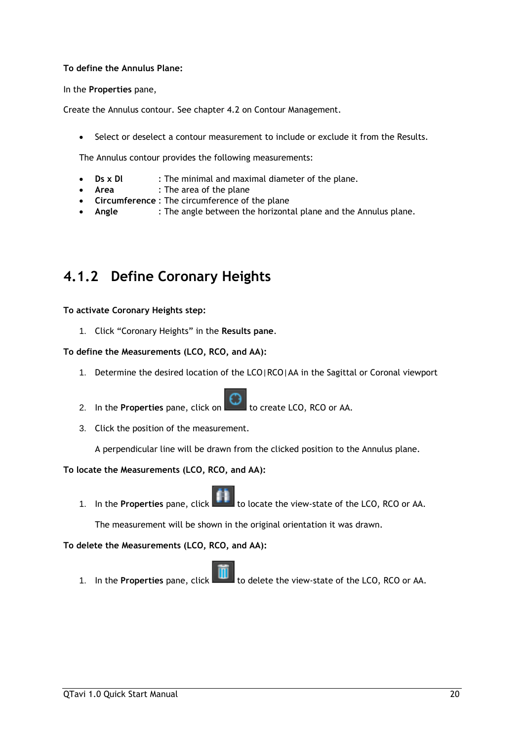### **To define the Annulus Plane:**

In the **Properties** pane,

Create the Annulus contour. See chapter [4.2](#page-26-0) on [Contour Management.](#page-26-0)

• Select or deselect a contour measurement to include or exclude it from the Results.

The Annulus contour provides the following measurements:

- **Ds x Dl** : The minimal and maximal diameter of the plane.
- **Area** : The area of the plane
- **Circumference** : The circumference of the plane
- **Angle** : The angle between the horizontal plane and the Annulus plane.

### <span id="page-22-0"></span>**4.1.2 Define Coronary Heights**

**To activate Coronary Heights step:**

1. Click "Coronary Heights" in the **Results pane**.

### **To define the Measurements (LCO, RCO, and AA):**

- 1. Determine the desired location of the LCO|RCO|AA in the Sagittal or Coronal viewport
- 2. In the **Properties** pane, click on the create LCO, RCO or AA.
- 3. Click the position of the measurement.

A perpendicular line will be drawn from the clicked position to the Annulus plane.

### **To locate the Measurements (LCO, RCO, and AA):**

1. In the **Properties** pane, click to locate the view-state of the LCO, RCO or AA.

The measurement will be shown in the original orientation it was drawn.

**To delete the Measurements (LCO, RCO, and AA):**



1. In the **Properties** pane, click to delete the view-state of the LCO, RCO or AA.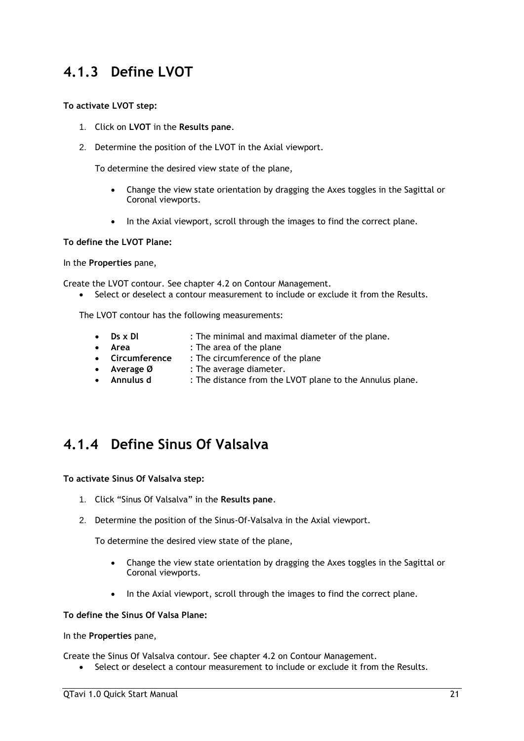### <span id="page-23-0"></span>**4.1.3 Define LVOT**

### **To activate LVOT step:**

- 1. Click on **LVOT** in the **Results pane**.
- 2. Determine the position of the LVOT in the Axial viewport.

To determine the desired view state of the plane,

- Change the view state orientation by dragging the Axes toggles in the Sagittal or Coronal viewports.
- In the Axial viewport, scroll through the images to find the correct plane.

### **To define the LVOT Plane:**

In the **Properties** pane,

Create the LVOT contour. See chapter [4.2](#page-26-0) on [Contour Management.](#page-26-0)

Select or deselect a contour measurement to include or exclude it from the Results.

The LVOT contour has the following measurements:

- **Ds x Dl** : The minimal and maximal diameter of the plane.
- **Area** : The area of the plane
- **Circumference** : The circumference of the plane
- **Average Ø** : The average diameter.
- **Annulus d** : The distance from the LVOT plane to the Annulus plane.

### <span id="page-23-1"></span>**4.1.4 Define Sinus Of Valsalva**

**To activate Sinus Of Valsalva step:**

- 1. Click "Sinus Of Valsalva" in the **Results pane**.
- 2. Determine the position of the Sinus-Of-Valsalva in the Axial viewport.

To determine the desired view state of the plane,

- Change the view state orientation by dragging the Axes toggles in the Sagittal or Coronal viewports.
- In the Axial viewport, scroll through the images to find the correct plane.

### **To define the Sinus Of Valsa Plane:**

In the **Properties** pane,

Create the Sinus Of Valsalva contour. See chapter [4.2](#page-26-0) on [Contour Management.](#page-26-0)

• Select or deselect a contour measurement to include or exclude it from the Results.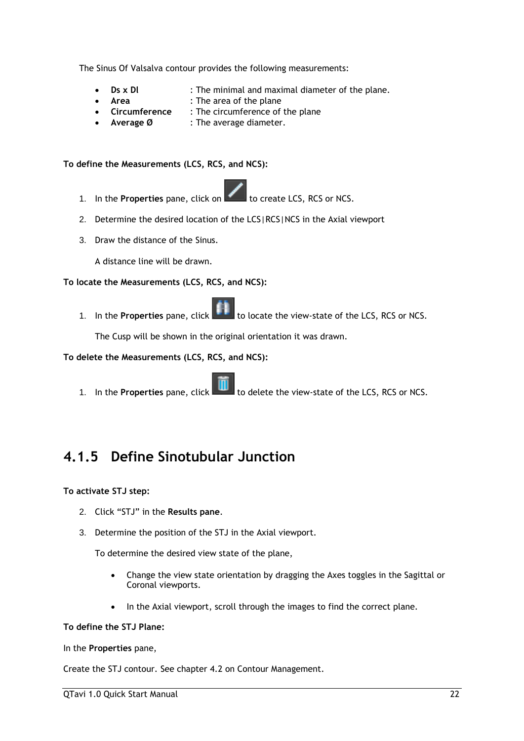The Sinus Of Valsalva contour provides the following measurements:

- **Ds x Dl** : The minimal and maximal diameter of the plane.
- **Area** : The area of the plane
- **Circumference** : The circumference of the plane
- Average Ø : The average diameter.

### **To define the Measurements (LCS, RCS, and NCS):**

- 1. In the **Properties** pane, click on the create LCS, RCS or NCS.
- 2. Determine the desired location of the LCS|RCS|NCS in the Axial viewport
- 3. Draw the distance of the Sinus.

A distance line will be drawn.

### **To locate the Measurements (LCS, RCS, and NCS):**

1. In the **Properties** pane, click to locate the view-state of the LCS, RCS or NCS.

The Cusp will be shown in the original orientation it was drawn.

### **To delete the Measurements (LCS, RCS, and NCS):**

1. In the **Properties** pane, click **the light of delete the view-state of the LCS, RCS or NCS.** 

### <span id="page-24-0"></span>**4.1.5 Define Sinotubular Junction**

### **To activate STJ step:**

- 2. Click "STJ" in the **Results pane**.
- 3. Determine the position of the STJ in the Axial viewport.

To determine the desired view state of the plane,

- Change the view state orientation by dragging the Axes toggles in the Sagittal or Coronal viewports.
- In the Axial viewport, scroll through the images to find the correct plane.

### **To define the STJ Plane:**

In the **Properties** pane,

Create the STJ contour. See chapter [4.2](#page-26-0) on [Contour Management.](#page-26-0)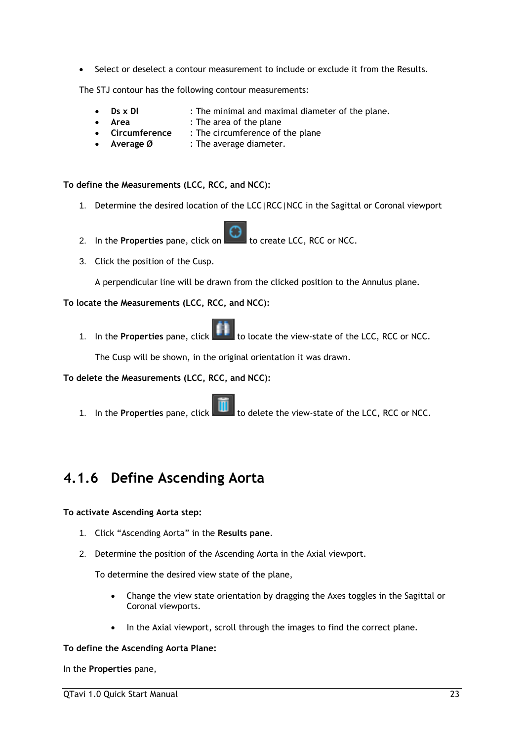• Select or deselect a contour measurement to include or exclude it from the Results.

The STJ contour has the following contour measurements:

- **Ds x Dl** : The minimal and maximal diameter of the plane.
- **Area** : The area of the plane
- **Circumference** : The circumference of the plane
- Average Ø : The average diameter.

**To define the Measurements (LCC, RCC, and NCC):**

- 1. Determine the desired location of the LCC|RCC|NCC in the Sagittal or Coronal viewport
- 2. In the **Properties** pane, click on **the set of create LCC, RCC or NCC.**
- 3. Click the position of the Cusp.

A perpendicular line will be drawn from the clicked position to the Annulus plane.

### **To locate the Measurements (LCC, RCC, and NCC):**

1. In the **Properties** pane, click to locate the view-state of the LCC, RCC or NCC.

The Cusp will be shown, in the original orientation it was drawn.

**To delete the Measurements (LCC, RCC, and NCC):**

1. In the **Properties** pane, click **The last of the view-state of the LCC, RCC or NCC.** 

### <span id="page-25-0"></span>**4.1.6 Define Ascending Aorta**

### **To activate Ascending Aorta step:**

- 1. Click "Ascending Aorta" in the **Results pane**.
- 2. Determine the position of the Ascending Aorta in the Axial viewport.

To determine the desired view state of the plane,

- Change the view state orientation by dragging the Axes toggles in the Sagittal or Coronal viewports.
- In the Axial viewport, scroll through the images to find the correct plane.

#### **To define the Ascending Aorta Plane:**

In the **Properties** pane,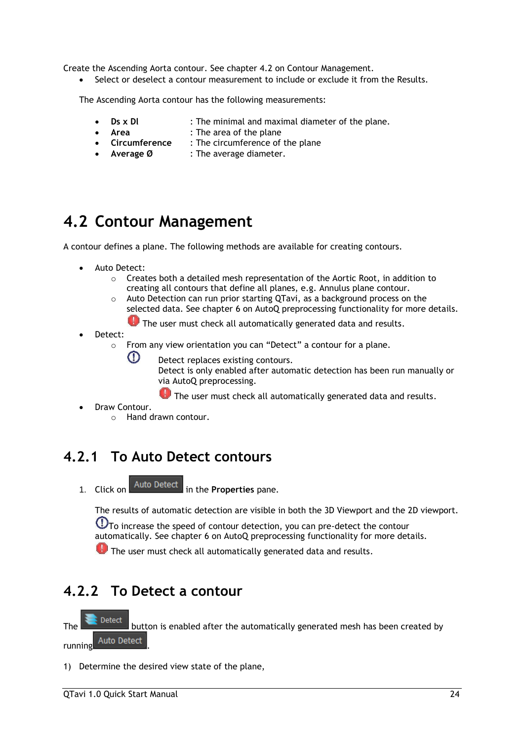Create the Ascending Aorta contour. See chapter [4.2](#page-26-0) on [Contour Management.](#page-26-0)

• Select or deselect a contour measurement to include or exclude it from the Results.

The Ascending Aorta contour has the following measurements:

- **Ds x Dl** : The minimal and maximal diameter of the plane.
- **Area** : The area of the plane
- **Circumference** : The circumference of the plane
- Average Ø : The average diameter.

## <span id="page-26-0"></span>**4.2 Contour Management**

A contour defines a plane. The following methods are available for creating contours.

- Auto Detect:
	- o Creates both a detailed mesh representation of the Aortic Root, in addition to creating all contours that define all planes, e.g. Annulus plane contour.
	- $\circ$  Auto Detection can run prior starting QTavi, as a background process on the selected data. See chapter [6](#page-31-0) on AutoQ [preprocessing](#page-31-0) functionality for more details.

**O** The user must check all automatically generated data and results.

- Detect:
	- o From any view orientation you can "Detect" a contour for a plane.
		- Detect replaces existing contours.

Detect is only enabled after automatic detection has been run manually or via AutoQ [preprocessing.](#page-31-0)

The user must check all automatically generated data and results.

Draw Contour.

 $\Omega$ 

o Hand drawn contour.

### <span id="page-26-1"></span>**4.2.1 To Auto Detect contours**

1. Click on Auto Detect in the **Properties** pane.

The results of automatic detection are visible in both the 3D Viewport and the 2D viewport.

 $\overline{\text{O}}$ To increase the speed of contour detection, you can pre-detect the contour automatically. See chapter [6](#page-31-0) on AutoQ [preprocessing](#page-31-0) functionality for more details.

The user must check all automatically generated data and results.

## <span id="page-26-2"></span>**4.2.2 To Detect a contour**

Detect The **button is enabled after the automatically generated mesh has been created by** running Auto Detect

1) Determine the desired view state of the plane,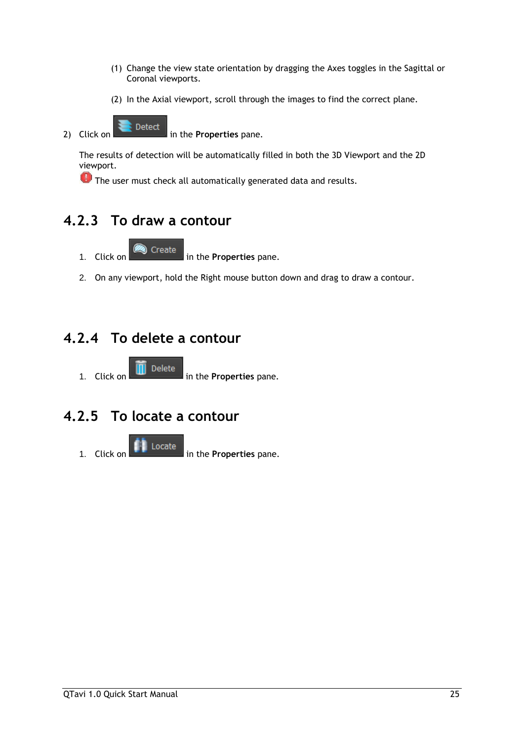- (1) Change the view state orientation by dragging the Axes toggles in the Sagittal or Coronal viewports.
- (2) In the Axial viewport, scroll through the images to find the correct plane.
- 2) Click on **in the Properties** pane.

The results of detection will be automatically filled in both the 3D Viewport and the 2D viewport.

**U** The user must check all automatically generated data and results.

## <span id="page-27-0"></span>**4.2.3 To draw a contour**

- 1. Click on in the **Properties** pane.
- 2. On any viewport, hold the Right mouse button down and drag to draw a contour.

## <span id="page-27-1"></span>**4.2.4 To delete a contour**

1. Click on **in** Delete **in the Properties pane.** 

## <span id="page-27-2"></span>**4.2.5 To locate a contour**

1. Click on **in the Properties** pane.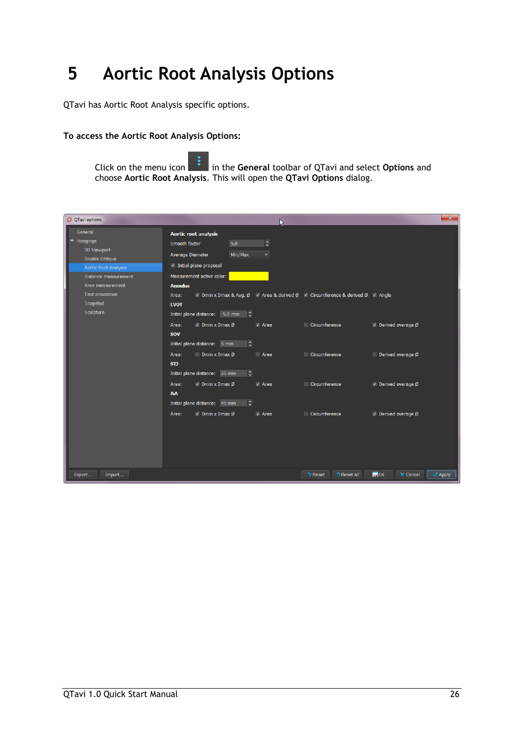## <span id="page-28-0"></span>**5 Aortic Root Analysis Options**

QTavi has Aortic Root Analysis specific options.

#### **To access the Aortic Root Analysis Options:**

Click on the menu icon in the **General** toolbar of QTavi and select **Options** and choose **Aortic Root Analysis**. This will open the **QTavi Options** dialog.

| O QTavi options                                                                                                                 |                                                                                                                                                                                                |                 |                                                                                                | $\mathbf{x}$                                        |
|---------------------------------------------------------------------------------------------------------------------------------|------------------------------------------------------------------------------------------------------------------------------------------------------------------------------------------------|-----------------|------------------------------------------------------------------------------------------------|-----------------------------------------------------|
| General<br>Hangings<br>3D Viewport<br>Double Oblique<br><b>Aortic Root Analysis</b><br>Distance measurement<br>Area measurement | Aortic root analysis<br>5.0<br>Smooth factor<br>Min/Max<br>Average Diameter<br>√ Initial plane proposal<br>Measurement active color:<br><b>Annulus</b>                                         | $\div$          |                                                                                                |                                                     |
| <b>Text annotation</b><br>Snapshot<br>Sculpture                                                                                 | Area:<br><b>LVOT</b><br>Initial plane distance: - 5.0 mm<br>H<br>$\vee$ Dmin x Dmax Ø<br>Area:                                                                                                 | $\sqrt{ }$ Area | √ Dmin x Dmax & Avg. Ø √ Area & derived Ø √ Circumference & derived Ø √ Angle<br>Circumference | $\vee$ Derived average Ø                            |
|                                                                                                                                 | <b>SOV</b><br>$\overline{\phantom{a}}$<br>Initial plane distance: 5 mm<br><b>Dmin x Dmax <math>\varnothing</math></b><br>Area:<br>STJ<br>$\overline{\bullet}$<br>Initial plane distance: 25 mm | Area            | Circumference                                                                                  | Derived average Ø                                   |
|                                                                                                                                 | $\sqrt{D}$ Dmin x Dmax Ø<br>Area:<br>AA<br>$\div$<br>Initial plane distance: 40 mm                                                                                                             | $\vee$ Area     | Circumference                                                                                  | √ Derived average Ø                                 |
|                                                                                                                                 | $\sqrt{ }$ Dmin x Dmax Ø<br>Area:                                                                                                                                                              | $\sqrt{ }$ Area | Circumference                                                                                  | √ Derived average Ø                                 |
| Import<br>Export                                                                                                                |                                                                                                                                                                                                |                 | "DReset all<br><b>D</b> Reset                                                                  | $\blacksquare$ OK<br>X Cancel<br>$\checkmark$ Apply |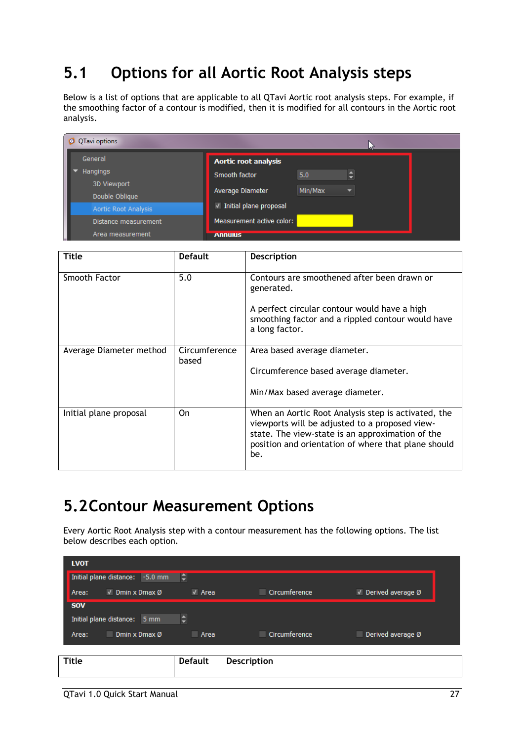## <span id="page-29-0"></span>**5.1 Options for all Aortic Root Analysis steps**

Below is a list of options that are applicable to all QTavi Aortic root analysis steps. For example, if the smoothing factor of a contour is modified, then it is modified for all contours in the Aortic root analysis.

| QTavi options<br>o            |                             |         |                      |  |
|-------------------------------|-----------------------------|---------|----------------------|--|
| General                       | <b>Aortic root analysis</b> |         |                      |  |
| <b>Hangings</b>               | Smooth factor               | 5.0     | $\overline{\bullet}$ |  |
| 3D Viewport<br>Double Oblique | Average Diameter            | Min/Max | ≂                    |  |
| Aortic Root Analysis          | √ Initial plane proposal    |         |                      |  |
| Distance measurement          | Measurement active color:   |         |                      |  |
| Area measurement              | <b>Annulus</b>              |         |                      |  |

| Title                   | <b>Default</b>         | <b>Description</b>                                                                                                                                                                                                      |
|-------------------------|------------------------|-------------------------------------------------------------------------------------------------------------------------------------------------------------------------------------------------------------------------|
| Smooth Factor           | 5.0                    | Contours are smoothened after been drawn or<br>generated.<br>A perfect circular contour would have a high                                                                                                               |
|                         |                        | smoothing factor and a rippled contour would have<br>a long factor.                                                                                                                                                     |
| Average Diameter method | Circumference<br>based | Area based average diameter.                                                                                                                                                                                            |
|                         |                        | Circumference based average diameter.                                                                                                                                                                                   |
|                         |                        | Min/Max based average diameter.                                                                                                                                                                                         |
| Initial plane proposal  | On                     | When an Aortic Root Analysis step is activated, the<br>viewports will be adjusted to a proposed view-<br>state. The view-state is an approximation of the<br>position and orientation of where that plane should<br>be. |

## <span id="page-29-1"></span>**5.2Contour Measurement Options**

Every Aortic Root Analysis step with a contour measurement has the following options. The list below describes each option.

| <b>LVOT</b>                               |                 |               |                                          |  |
|-------------------------------------------|-----------------|---------------|------------------------------------------|--|
| Initial plane distance:<br>$-5.0$ mm      | H               |               |                                          |  |
| I<br>$\vee$ Dmin x Dmax Ø<br>Area:        | $\sqrt{ }$ Area | Circumference | $\sqrt{ }$ Derived average $\varnothing$ |  |
| <b>SOV</b>                                |                 |               |                                          |  |
| Initial plane distance:<br>$5 \text{ mm}$ |                 |               |                                          |  |
| Dmin x Dmax Ø<br>Area:                    | Area            | Circumference | Derived average Ø                        |  |
|                                           |                 |               |                                          |  |
| <b>Title</b>                              | <b>Default</b>  | Description   |                                          |  |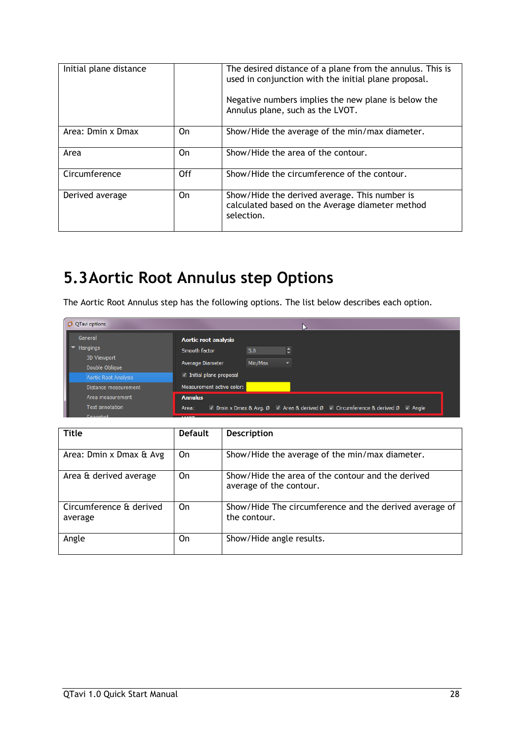| Initial plane distance |     | The desired distance of a plane from the annulus. This is<br>used in conjunction with the initial plane proposal.<br>Negative numbers implies the new plane is below the<br>Annulus plane, such as the LVOT. |
|------------------------|-----|--------------------------------------------------------------------------------------------------------------------------------------------------------------------------------------------------------------|
| Area: Dmin x Dmax      | On  | Show/Hide the average of the min/max diameter.                                                                                                                                                               |
| Area                   | 0n  | Show/Hide the area of the contour.                                                                                                                                                                           |
| Circumference          | Off | Show/Hide the circumference of the contour.                                                                                                                                                                  |
| Derived average        | On  | Show/Hide the derived average. This number is<br>calculated based on the Average diameter method<br>selection.                                                                                               |

## <span id="page-30-0"></span>**5.3Aortic Root Annulus step Options**

The Aortic Root Annulus step has the following options. The list below describes each option.

| O QTavi options               |                                                                                        |
|-------------------------------|----------------------------------------------------------------------------------------|
| General                       | Aortic root analysis                                                                   |
| <b>Hangings</b>               | $\overline{\bullet}$<br>Smooth factor<br>5.0                                           |
| 3D Viewport<br>Double Oblique | Min/Max<br>Average Diameter<br>$\overline{\phantom{0}}$                                |
| <b>Aortic Root Analysis</b>   | √ Initial plane proposal                                                               |
| Distance measurement          | Measurement active color:                                                              |
| Area measurement              | <b>Annulus</b>                                                                         |
| <b>Text annotation</b>        | √ Dmin x Dmax & Avg. Ø √ Area & derived Ø √ Circumference & derived Ø √ Angle<br>Area: |
|                               |                                                                                        |

| <b>Title</b>                       | <b>Default</b> | <b>Description</b>                                                           |
|------------------------------------|----------------|------------------------------------------------------------------------------|
|                                    |                |                                                                              |
| Area: Dmin x Dmax & Avg            | 0n             | Show/Hide the average of the min/max diameter.                               |
| Area & derived average             | On             | Show/Hide the area of the contour and the derived<br>average of the contour. |
| Circumference & derived<br>average | On             | Show/Hide The circumference and the derived average of<br>the contour.       |
| Angle                              | 0n             | Show/Hide angle results.                                                     |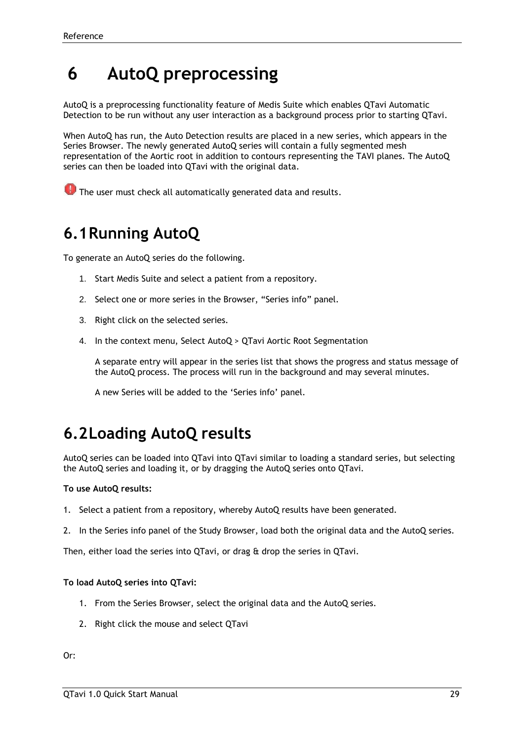## <span id="page-31-0"></span>**6 AutoQ preprocessing**

AutoQ is a preprocessing functionality feature of Medis Suite which enables QTavi Automatic Detection to be run without any user interaction as a background process prior to starting QTavi.

When AutoQ has run, the Auto Detection results are placed in a new series, which appears in the Series Browser. The newly generated AutoQ series will contain a fully segmented mesh representation of the Aortic root in addition to contours representing the TAVI planes. The AutoQ series can then be loaded into QTavi with the original data.

**O** The user must check all automatically generated data and results.

## <span id="page-31-1"></span>**6.1Running AutoQ**

To generate an AutoQ series do the following.

- 1. Start Medis Suite and select a patient from a repository.
- 2. Select one or more series in the Browser, "Series info" panel.
- 3. Right click on the selected series.
- 4. In the context menu, Select AutoQ > QTavi Aortic Root Segmentation

A separate entry will appear in the series list that shows the progress and status message of the AutoQ process. The process will run in the background and may several minutes.

A new Series will be added to the 'Series info' panel.

## <span id="page-31-2"></span>**6.2Loading AutoQ results**

AutoQ series can be loaded into QTavi into QTavi similar to loading a standard series, but selecting the AutoQ series and loading it, or by dragging the AutoQ series onto QTavi.

### **To use AutoQ results:**

- 1. Select a patient from a repository, whereby AutoQ results have been generated.
- 2. In the Series info panel of the Study Browser, load both the original data and the AutoQ series.

Then, either load the series into QTavi, or drag & drop the series in QTavi.

### **To load AutoQ series into QTavi:**

- 1. From the Series Browser, select the original data and the AutoQ series.
- 2. Right click the mouse and select QTavi

Or: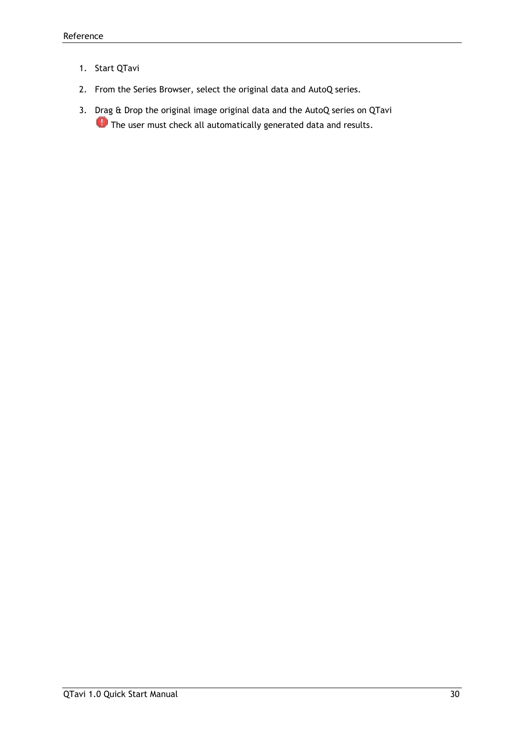- 1. Start QTavi
- 2. From the Series Browser, select the original data and AutoQ series.
- 3. Drag & Drop the original image original data and the AutoQ series on QTavi **O** The user must check all automatically generated data and results.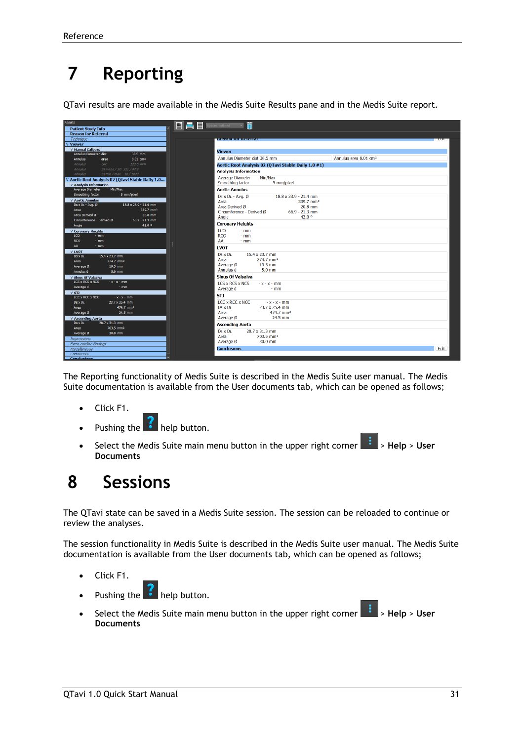## <span id="page-33-0"></span>**7 Reporting**

QTavi results are made available in the Medis Suite Results pane and in the Medis Suite report.

| <b>Results</b>                                                                         | $\begin{array}{ c c c }\n\hline\n\vdots & \vdots & \vdots \\ \hline\n\vdots & \vdots & \vdots \\ \hline\n\vdots & \vdots & \vdots \\ \hline\n\vdots & \vdots & \vdots \\ \hline\n\vdots & \vdots & \vdots \\ \hline\n\vdots & \vdots & \vdots \\ \hline\n\vdots & \vdots & \vdots \\ \hline\n\vdots & \vdots & \vdots \\ \hline\n\vdots & \vdots & \vdots \\ \hline\n\vdots & \vdots & \vdots \\ \hline\n\vdots & \vdots & \vdots \\ \hline\n\vdots & \vdots & \vdots \\ \hline\n\vdots & \vdots & \vd$<br>m |                                                     |  |
|----------------------------------------------------------------------------------------|--------------------------------------------------------------------------------------------------------------------------------------------------------------------------------------------------------------------------------------------------------------------------------------------------------------------------------------------------------------------------------------------------------------------------------------------------------------------------------------------------------------|-----------------------------------------------------|--|
| <b>Patient Study Info</b>                                                              |                                                                                                                                                                                                                                                                                                                                                                                                                                                                                                              |                                                     |  |
| <b>Reason for Referral</b>                                                             |                                                                                                                                                                                                                                                                                                                                                                                                                                                                                                              |                                                     |  |
| Technique                                                                              | <b>ENGINEERING BROOKER</b>                                                                                                                                                                                                                                                                                                                                                                                                                                                                                   |                                                     |  |
| <b>V</b> Viewer                                                                        |                                                                                                                                                                                                                                                                                                                                                                                                                                                                                                              |                                                     |  |
| <b>V</b> Manual Calipers                                                               | <b>Viewer</b>                                                                                                                                                                                                                                                                                                                                                                                                                                                                                                |                                                     |  |
| Annulus Diameter dist<br>38.5 mm                                                       | Annulus Diameter dist 38.5 mm                                                                                                                                                                                                                                                                                                                                                                                                                                                                                |                                                     |  |
| <b>Annulus</b><br>8.01 cm <sup>2</sup><br>area<br><b>Annulus</b><br>circ<br>$123.6$ mm |                                                                                                                                                                                                                                                                                                                                                                                                                                                                                                              |                                                     |  |
| Annulus<br>SI mean / SD 321 / 97.4                                                     |                                                                                                                                                                                                                                                                                                                                                                                                                                                                                                              | Aortic Root Analysis 02 (QTavi Stable Daily 1.0 #1) |  |
| <b>Annulus</b><br>SI min / max 10 / 1023                                               | <b>Analysis Information</b>                                                                                                                                                                                                                                                                                                                                                                                                                                                                                  |                                                     |  |
| V Aortic Root Analysis 02 (QTavi Stable Daily 1.0                                      | <b>Average Diameter</b>                                                                                                                                                                                                                                                                                                                                                                                                                                                                                      | Min/Max                                             |  |
| <b>V</b> Analysis Information                                                          | Smoothing factor                                                                                                                                                                                                                                                                                                                                                                                                                                                                                             | 5 mm/pixel                                          |  |
| Min/Max<br>Average Diameter                                                            | <b>Aortic Annulus</b>                                                                                                                                                                                                                                                                                                                                                                                                                                                                                        |                                                     |  |
| Smoothing factor<br>5 mm/pixel                                                         | Ds x DL - Avg. Ø                                                                                                                                                                                                                                                                                                                                                                                                                                                                                             | 18.8 x 23.9 - 21.4 mm                               |  |
| <b>V Aortic Annulus</b>                                                                | Area                                                                                                                                                                                                                                                                                                                                                                                                                                                                                                         | 339.7 mm <sup>2</sup>                               |  |
| $18.8 \times 23.9 - 21.4$ mm<br>$DS \times DL - Avg.$ Ø                                | Area Derived Ø                                                                                                                                                                                                                                                                                                                                                                                                                                                                                               | $20.8$ mm                                           |  |
| 339.7 mm <sup>2</sup><br>Area                                                          | Circumference - Derived Ø                                                                                                                                                                                                                                                                                                                                                                                                                                                                                    | $66.9 - 21.3$ mm                                    |  |
| Area Derived Ø<br>20.8 mm                                                              | Angle                                                                                                                                                                                                                                                                                                                                                                                                                                                                                                        | 42.0 <sup>o</sup>                                   |  |
| Circumference - Derived Ø<br>$66.9 - 21.3$ mm                                          |                                                                                                                                                                                                                                                                                                                                                                                                                                                                                                              |                                                     |  |
| 42.0 0<br>Angle                                                                        | <b>Coronary Heights</b>                                                                                                                                                                                                                                                                                                                                                                                                                                                                                      |                                                     |  |
| <b>V Coronary Heights</b>                                                              | <b>LCO</b><br>$-$ mm                                                                                                                                                                                                                                                                                                                                                                                                                                                                                         |                                                     |  |
| LCO.<br>$-$ mm                                                                         | <b>RCO</b><br>$-$ mm                                                                                                                                                                                                                                                                                                                                                                                                                                                                                         |                                                     |  |
| <b>RCO</b><br>$-$ mm                                                                   | AA<br>$-$ mm                                                                                                                                                                                                                                                                                                                                                                                                                                                                                                 |                                                     |  |
| AA<br>$-$ mm                                                                           | <b>IVOT</b>                                                                                                                                                                                                                                                                                                                                                                                                                                                                                                  |                                                     |  |
| <b>V LVOT</b>                                                                          | 15.4 x 23.7 mm<br>$Ds \times Di$                                                                                                                                                                                                                                                                                                                                                                                                                                                                             |                                                     |  |
| 15.4 x 23.7 mm<br><b>DS X DL</b>                                                       | Area                                                                                                                                                                                                                                                                                                                                                                                                                                                                                                         | 274.7 mm <sup>2</sup>                               |  |
| 274.7 mm <sup>2</sup><br>Area                                                          | Average Ø                                                                                                                                                                                                                                                                                                                                                                                                                                                                                                    | 19.5 mm                                             |  |
| 19.5 mm<br>Average Ø                                                                   | Annulus d                                                                                                                                                                                                                                                                                                                                                                                                                                                                                                    | $5.0$ mm                                            |  |
| Annulus d<br>5.0 mm                                                                    |                                                                                                                                                                                                                                                                                                                                                                                                                                                                                                              |                                                     |  |
| <b>V Sinus Of Valsalva</b>                                                             | <b>Sinus Of Valsalva</b>                                                                                                                                                                                                                                                                                                                                                                                                                                                                                     |                                                     |  |
| LCS x RCS x NCS<br>$-x - x - mm$                                                       | <b>LCS x RCS x NCS</b>                                                                                                                                                                                                                                                                                                                                                                                                                                                                                       | $-x - x - mm$                                       |  |
| Average d<br>$-$ mm                                                                    | Average d                                                                                                                                                                                                                                                                                                                                                                                                                                                                                                    | $-$ mm                                              |  |
| $V$ STJ<br>LCC x RCC x NCC<br>$-x-x-mm$                                                | <b>STI</b>                                                                                                                                                                                                                                                                                                                                                                                                                                                                                                   |                                                     |  |
| 23.7 x 25.4 mm<br><b>DS X DL</b>                                                       | <b>LCC x RCC x NCC</b>                                                                                                                                                                                                                                                                                                                                                                                                                                                                                       | $-x - x - mm$                                       |  |
| 474.7 mm <sup>2</sup><br>Area                                                          | Ds x DL                                                                                                                                                                                                                                                                                                                                                                                                                                                                                                      | 23.7 x 25.4 mm                                      |  |
| 24.5 mm<br>Average Ø                                                                   | Area                                                                                                                                                                                                                                                                                                                                                                                                                                                                                                         | 474.7 mm <sup>2</sup>                               |  |
|                                                                                        | Average Ø                                                                                                                                                                                                                                                                                                                                                                                                                                                                                                    | 24.5 mm                                             |  |
| <b>V Ascending Aorta</b><br>28.7 x 31.3 mm<br><b>DS X DL</b>                           |                                                                                                                                                                                                                                                                                                                                                                                                                                                                                                              |                                                     |  |
| 703.5 mm <sup>2</sup><br>Area                                                          | <b>Ascending Aorta</b>                                                                                                                                                                                                                                                                                                                                                                                                                                                                                       |                                                     |  |
| Average Ø<br>30.0 mm                                                                   | <b>Ds x DL</b><br>28.7 x 31.3 mm                                                                                                                                                                                                                                                                                                                                                                                                                                                                             |                                                     |  |
| <b>Impressions</b>                                                                     | Area                                                                                                                                                                                                                                                                                                                                                                                                                                                                                                         | 703.5 mm <sup>2</sup>                               |  |
| Extra-cardiac Findings                                                                 | Average Ø                                                                                                                                                                                                                                                                                                                                                                                                                                                                                                    | 30.0 mm                                             |  |
| Miscellaneous                                                                          | <b>Conclusions</b>                                                                                                                                                                                                                                                                                                                                                                                                                                                                                           |                                                     |  |
| <b>Comments</b>                                                                        |                                                                                                                                                                                                                                                                                                                                                                                                                                                                                                              |                                                     |  |
|                                                                                        |                                                                                                                                                                                                                                                                                                                                                                                                                                                                                                              |                                                     |  |

The Reporting functionality of Medis Suite is described in the Medis Suite user manual. The Medis Suite documentation is available from the User documents tab, which can be opened as follows;

- Click F1.
- Pushing the  $\mathbb{R}$  help button.
- Select the Medis Suite main menu button in the upper right corner **100 Selp** > **Help** > User **Documents**

## <span id="page-33-1"></span>**8 Sessions**

The QTavi state can be saved in a Medis Suite session. The session can be reloaded to continue or review the analyses.

The session functionality in Medis Suite is described in the Medis Suite user manual. The Medis Suite documentation is available from the User documents tab, which can be opened as follows;

- Click F1.
	- Pushing the **the help button.**
- Select the Medis Suite main menu button in the upper right corner **Fig.** > Help > User **Documents**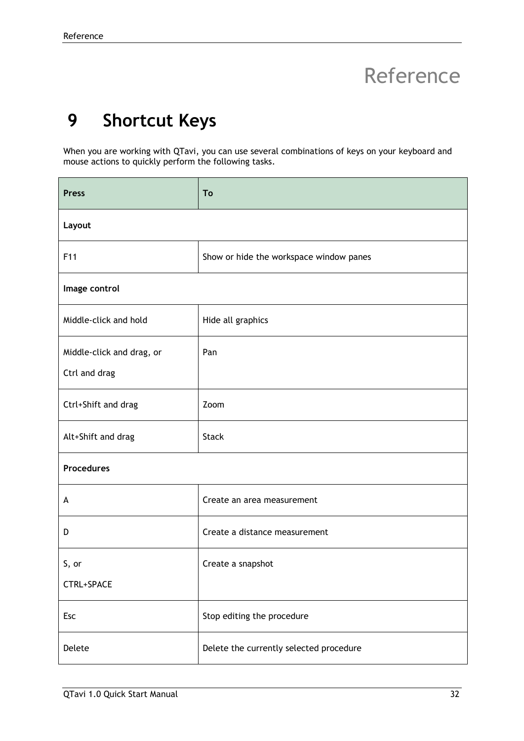## <span id="page-34-0"></span>Reference

## <span id="page-34-1"></span>**9 Shortcut Keys**

When you are working with QTavi, you can use several combinations of keys on your keyboard and mouse actions to quickly perform the following tasks.

| <b>Press</b>                               | To                                      |
|--------------------------------------------|-----------------------------------------|
| Layout                                     |                                         |
| F11                                        | Show or hide the workspace window panes |
| Image control                              |                                         |
| Middle-click and hold                      | Hide all graphics                       |
| Middle-click and drag, or<br>Ctrl and drag | Pan                                     |
| Ctrl+Shift and drag                        | Zoom                                    |
| Alt+Shift and drag                         | <b>Stack</b>                            |
| <b>Procedures</b>                          |                                         |
| A                                          | Create an area measurement              |
| D                                          | Create a distance measurement           |
| S, or                                      | Create a snapshot                       |
| CTRL+SPACE                                 |                                         |
| Esc                                        | Stop editing the procedure              |
| Delete                                     | Delete the currently selected procedure |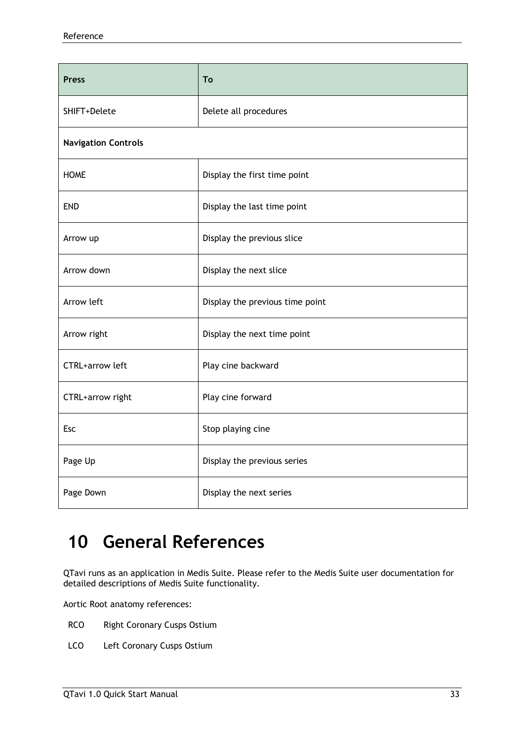| <b>Press</b>               | To                              |
|----------------------------|---------------------------------|
| SHIFT+Delete               | Delete all procedures           |
| <b>Navigation Controls</b> |                                 |
| <b>HOME</b>                | Display the first time point    |
| <b>END</b>                 | Display the last time point     |
| Arrow up                   | Display the previous slice      |
| Arrow down                 | Display the next slice          |
| Arrow left                 | Display the previous time point |
| Arrow right                | Display the next time point     |
| <b>CTRL+arrow left</b>     | Play cine backward              |
| CTRL+arrow right           | Play cine forward               |
| Esc                        | Stop playing cine               |
| Page Up                    | Display the previous series     |
| Page Down                  | Display the next series         |

## <span id="page-35-0"></span>**10 General References**

QTavi runs as an application in Medis Suite. Please refer to the Medis Suite user documentation for detailed descriptions of Medis Suite functionality.

Aortic Root anatomy references:

- RCO Right Coronary Cusps Ostium
- LCO Left Coronary Cusps Ostium